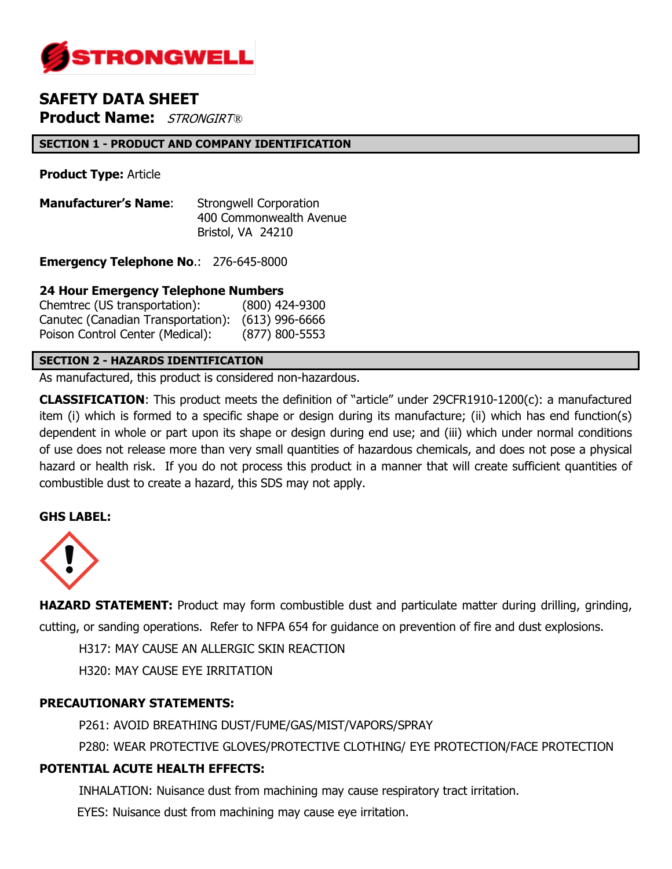

# **SAFETY DATA SHEET Product Name:** STRONGIRT*®*

## **SECTION 1 - PRODUCT AND COMPANY IDENTIFICATION**

**Product Type:** Article

**Manufacturer's Name:** Strongwell Corporation 400 Commonwealth Avenue Bristol, VA 24210

**Emergency Telephone No**.: 276-645-8000

## **24 Hour Emergency Telephone Numbers**

Chemtrec (US transportation): (800) 424-9300 Canutec (Canadian Transportation): (613) 996-6666 Poison Control Center (Medical): (877) 800-5553

### **SECTION 2 - HAZARDS IDENTIFICATION**

As manufactured, this product is considered non-hazardous.

**CLASSIFICATION**: This product meets the definition of "article" under 29CFR1910-1200(c): a manufactured item (i) which is formed to a specific shape or design during its manufacture; (ii) which has end function(s) dependent in whole or part upon its shape or design during end use; and (iii) which under normal conditions of use does not release more than very small quantities of hazardous chemicals, and does not pose a physical hazard or health risk. If you do not process this product in a manner that will create sufficient quantities of combustible dust to create a hazard, this SDS may not apply.

## **GHS LABEL:**



**HAZARD STATEMENT:** Product may form combustible dust and particulate matter during drilling, grinding, cutting, or sanding operations. Refer to NFPA 654 for guidance on prevention of fire and dust explosions.

H317: MAY CAUSE AN ALLERGIC SKIN REACTION

H320: MAY CAUSE EYE IRRITATION

## **PRECAUTIONARY STATEMENTS:**

P261: AVOID BREATHING DUST/FUME/GAS/MIST/VAPORS/SPRAY

P280: WEAR PROTECTIVE GLOVES/PROTECTIVE CLOTHING/ EYE PROTECTION/FACE PROTECTION

## **POTENTIAL ACUTE HEALTH EFFECTS:**

INHALATION: Nuisance dust from machining may cause respiratory tract irritation.

EYES: Nuisance dust from machining may cause eye irritation.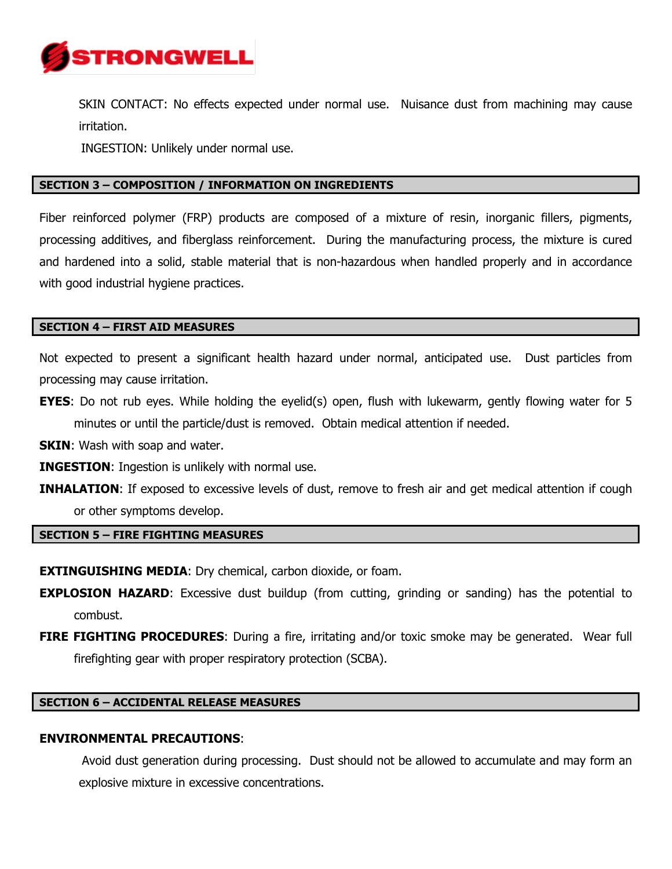

SKIN CONTACT: No effects expected under normal use. Nuisance dust from machining may cause irritation.

INGESTION: Unlikely under normal use.

## **SECTION 3 – COMPOSITION / INFORMATION ON INGREDIENTS**

Fiber reinforced polymer (FRP) products are composed of a mixture of resin, inorganic fillers, pigments, processing additives, and fiberglass reinforcement. During the manufacturing process, the mixture is cured and hardened into a solid, stable material that is non-hazardous when handled properly and in accordance with good industrial hygiene practices.

#### **SECTION 4 – FIRST AID MEASURES**

Not expected to present a significant health hazard under normal, anticipated use. Dust particles from processing may cause irritation.

**EYES:** Do not rub eyes. While holding the eyelid(s) open, flush with lukewarm, gently flowing water for 5 minutes or until the particle/dust is removed. Obtain medical attention if needed.

**SKIN:** Wash with soap and water.

- **INGESTION:** Ingestion is unlikely with normal use.
- **INHALATION:** If exposed to excessive levels of dust, remove to fresh air and get medical attention if cough or other symptoms develop.

#### **SECTION 5 – FIRE FIGHTING MEASURES**

**EXTINGUISHING MEDIA:** Dry chemical, carbon dioxide, or foam.

- **EXPLOSION HAZARD:** Excessive dust buildup (from cutting, grinding or sanding) has the potential to combust.
- **FIRE FIGHTING PROCEDURES:** During a fire, irritating and/or toxic smoke may be generated. Wear full firefighting gear with proper respiratory protection (SCBA).

#### **SECTION 6 – ACCIDENTAL RELEASE MEASURES**

#### **ENVIRONMENTAL PRECAUTIONS**:

Avoid dust generation during processing. Dust should not be allowed to accumulate and may form an explosive mixture in excessive concentrations.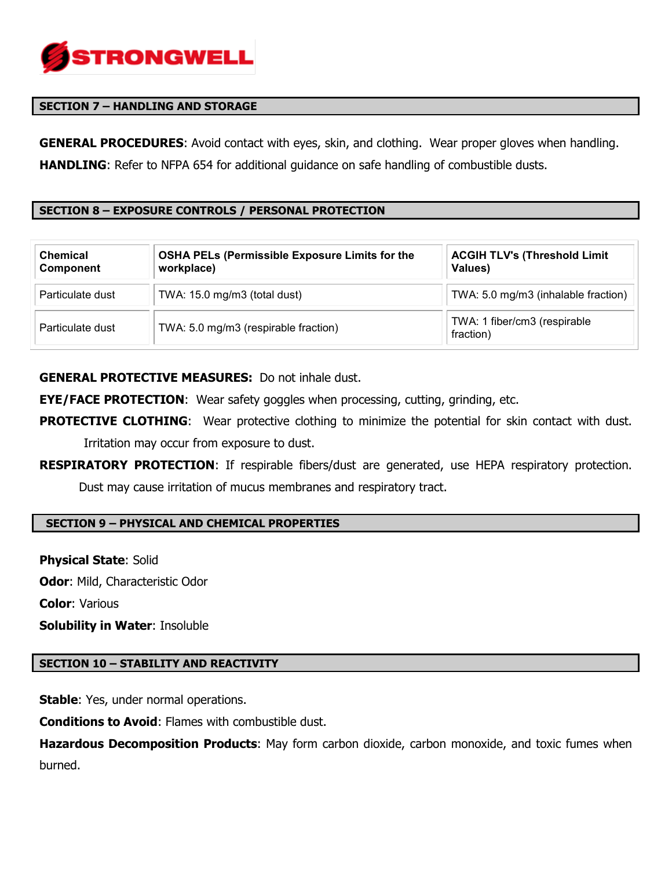

## **SECTION 7 – HANDLING AND STORAGE**

**GENERAL PROCEDURES**: Avoid contact with eyes, skin, and clothing. Wear proper gloves when handling. **HANDLING**: Refer to NFPA 654 for additional quidance on safe handling of combustible dusts.

## **SECTION 8 – EXPOSURE CONTROLS / PERSONAL PROTECTION**

| <b>Chemical</b><br>Component | <b>OSHA PELs (Permissible Exposure Limits for the</b><br>workplace) | <b>ACGIH TLV's (Threshold Limit</b><br>Values) |
|------------------------------|---------------------------------------------------------------------|------------------------------------------------|
| Particulate dust             | TWA: 15.0 mg/m3 (total dust)                                        | TWA: 5.0 mg/m3 (inhalable fraction)            |
| Particulate dust             | TWA: 5.0 mg/m3 (respirable fraction)                                | TWA: 1 fiber/cm3 (respirable<br>fraction)      |

**GENERAL PROTECTIVE MEASURES:** Do not inhale dust.

**EYE/FACE PROTECTION**: Wear safety goggles when processing, cutting, grinding, etc.

- **PROTECTIVE CLOTHING:** Wear protective clothing to minimize the potential for skin contact with dust. Irritation may occur from exposure to dust.
- **RESPIRATORY PROTECTION**: If respirable fibers/dust are generated, use HEPA respiratory protection. Dust may cause irritation of mucus membranes and respiratory tract.

#### **SECTION 9 – PHYSICAL AND CHEMICAL PROPERTIES**

**Physical State**: Solid **Odor**: Mild, Characteristic Odor **Color**: Various **Solubility in Water**: Insoluble

#### **SECTION 10 – STABILITY AND REACTIVITY**

**Stable:** Yes, under normal operations.

**Conditions to Avoid**: Flames with combustible dust.

**Hazardous Decomposition Products**: May form carbon dioxide, carbon monoxide, and toxic fumes when burned.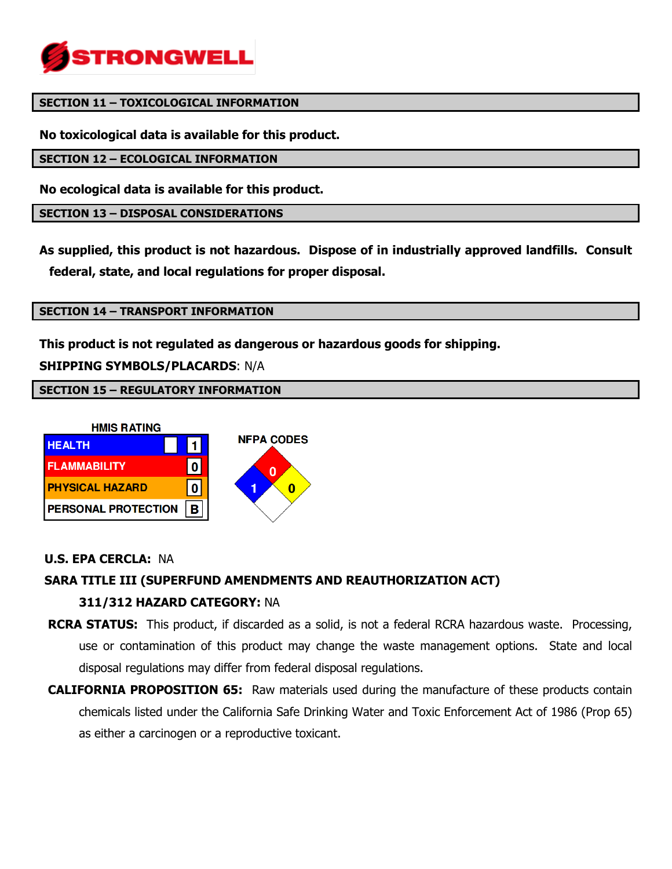

#### **SECTION 11 – TOXICOLOGICAL INFORMATION**

**No toxicological data is available for this product.**

**SECTION 12 – ECOLOGICAL INFORMATION**

**No ecological data is available for this product.** 

**SECTION 13 – DISPOSAL CONSIDERATIONS**

**As supplied, this product is not hazardous. Dispose of in industrially approved landfills. Consult federal, state, and local regulations for proper disposal.**

### **SECTION 14 – TRANSPORT INFORMATION**

**This product is not regulated as dangerous or hazardous goods for shipping.** 

**SHIPPING SYMBOLS/PLACARDS**: N/A

**SECTION 15 – REGULATORY INFORMATION**



## **U.S. EPA CERCLA:** NA

# **SARA TITLE III (SUPERFUND AMENDMENTS AND REAUTHORIZATION ACT) 311/312 HAZARD CATEGORY:** NA

- **RCRA STATUS:** This product, if discarded as a solid, is not a federal RCRA hazardous waste. Processing, use or contamination of this product may change the waste management options. State and local disposal regulations may differ from federal disposal regulations.
- **CALIFORNIA PROPOSITION 65:** Raw materials used during the manufacture of these products contain chemicals listed under the California Safe Drinking Water and Toxic Enforcement Act of 1986 (Prop 65) as either a carcinogen or a reproductive toxicant.